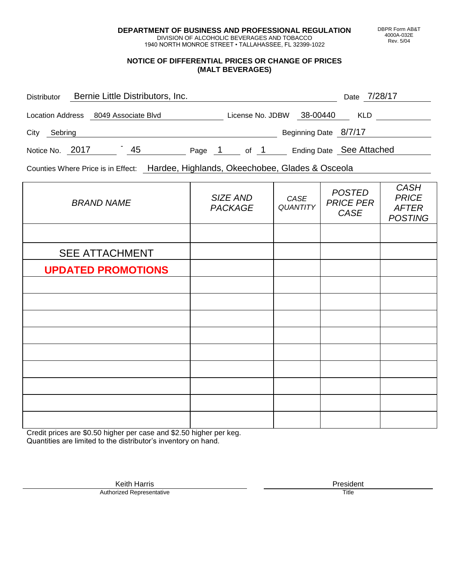**DEPARTMENT OF BUSINESS AND PROFESSIONAL REGULATION** DIVISION OF ALCOHOLIC BEVERAGES AND TOBACCO

1940 NORTH MONROE STREET • TALLAHASSEE, FL 32399-1022

### **NOTICE OF DIFFERENTIAL PRICES OR CHANGE OF PRICES (MALT BEVERAGES)**

| Distributor      | Bernie Little Distributors, Inc. |        |                  |                       | Date 7/28/17             |
|------------------|----------------------------------|--------|------------------|-----------------------|--------------------------|
| Location Address | 8049 Associate Blvd              |        | License No. JDBW | 38-00440              | KLD                      |
| City<br>Sebring  |                                  |        |                  | Beginning Date 8/7/17 |                          |
| Notice No. 2017  | 45                               | Page 1 | of 1             |                       | Ending Date See Attached |

Counties Where Price is in Effect: Hardee, Highlands, Okeechobee, Glades & Osceola

| <b>BRAND NAME</b>         | SIZE AND<br><b>PACKAGE</b> | CASE<br><b>QUANTITY</b> | <b>POSTED</b><br><b>PRICE PER</b><br>CASE | <b>CASH</b><br><b>PRICE</b><br><b>AFTER</b><br><b>POSTING</b> |
|---------------------------|----------------------------|-------------------------|-------------------------------------------|---------------------------------------------------------------|
|                           |                            |                         |                                           |                                                               |
| <b>SEE ATTACHMENT</b>     |                            |                         |                                           |                                                               |
| <b>UPDATED PROMOTIONS</b> |                            |                         |                                           |                                                               |
|                           |                            |                         |                                           |                                                               |
|                           |                            |                         |                                           |                                                               |
|                           |                            |                         |                                           |                                                               |
|                           |                            |                         |                                           |                                                               |
|                           |                            |                         |                                           |                                                               |
|                           |                            |                         |                                           |                                                               |
|                           |                            |                         |                                           |                                                               |
|                           |                            |                         |                                           |                                                               |
|                           |                            |                         |                                           |                                                               |

Credit prices are \$0.50 higher per case and \$2.50 higher per keg. Quantities are limited to the distributor's inventory on hand.

> Keith Harris **President**<br> **President**<br>
> Prized Representative **President Authorized Representative**

DBPR Form AB&T 4000A-032E Rev. 5/04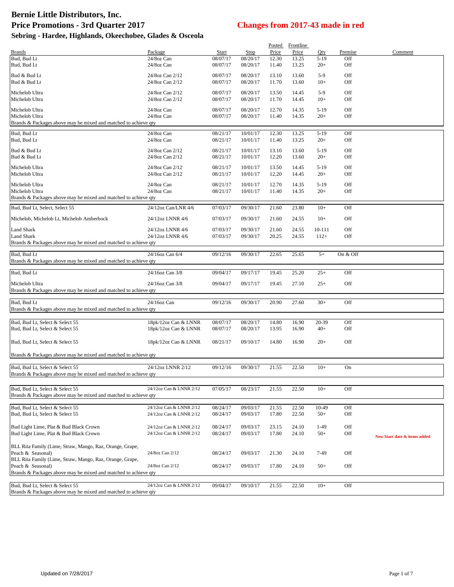|                                                                                   |                                    |                      |                      |                | Posted Frontline |                 |            |                              |
|-----------------------------------------------------------------------------------|------------------------------------|----------------------|----------------------|----------------|------------------|-----------------|------------|------------------------------|
| <b>Brands</b>                                                                     | Package                            | Start                | <b>Stop</b>          | Price          | Price            | Qty             | Premise    | Comment                      |
| Bud, Bud Lt                                                                       | 24/8oz Can                         | 08/07/17             | 08/20/17             | 12.30          | 13.25            | $5-19$          | Off        |                              |
| Bud, Bud Lt                                                                       | 24/8oz Can                         | 08/07/17             | 08/20/17             | 11.40          | 13.25            | $20+$           | Off        |                              |
| Bud & Bud Lt                                                                      | 24/8oz Can 2/12                    | 08/07/17             | 08/20/17             | 13.10          | 13.60            | $5-9$           | Off        |                              |
| Bud & Bud Lt                                                                      | 24/8oz Can 2/12                    | 08/07/17             | 08/20/17             | 11.70          | 13.60            | $10+$           | Off        |                              |
| Michelob Ultra                                                                    | 24/8oz Can 2/12                    | 08/07/17             | 08/20/17             | 13.50          | 14.45            | $5-9$           | Off        |                              |
| Michelob Ultra                                                                    | 24/8oz Can 2/12                    | 08/07/17             | 08/20/17             | 11.70          | 14.45            | $10+$           | Off        |                              |
| Michelob Ultra                                                                    | 24/8oz Can                         | 08/07/17             | 08/20/17             | 12.70          | 14.35            | $5-19$          | Off        |                              |
| Michelob Ultra                                                                    | 24/8oz Can                         | 08/07/17             | 08/20/17             | 11.40          | 14.35            | $20+$           | Off        |                              |
| Brands & Packages above may be mixed and matched to achieve qty                   |                                    |                      |                      |                |                  |                 |            |                              |
| Bud, Bud Lt                                                                       | 24/8oz Can                         | 08/21/17             | 10/01/17             | 12.30          | 13.25            | $5-19$          | Off        |                              |
| Bud, Bud Lt                                                                       | 24/8oz Can                         | 08/21/17             | 10/01/17             | 11.40          | 13.25            | $20+$           | Off        |                              |
|                                                                                   |                                    |                      |                      |                |                  |                 |            |                              |
| Bud & Bud Lt<br>Bud & Bud Lt                                                      | 24/8oz Can 2/12<br>24/8oz Can 2/12 | 08/21/17<br>08/21/17 | 10/01/17<br>10/01/17 | 13.10<br>12.20 | 13.60<br>13.60   | $5-19$<br>$20+$ | Off<br>Off |                              |
|                                                                                   |                                    |                      |                      |                |                  |                 |            |                              |
| Michelob Ultra                                                                    | 24/8oz Can 2/12                    | 08/21/17             | 10/01/17             | 13.50          | 14.45            | $5-19$          | Off        |                              |
| Michelob Ultra                                                                    | 24/8oz Can 2/12                    | 08/21/17             | 10/01/17             | 12.20          | 14.45            | $20+$           | Off        |                              |
| Michelob Ultra                                                                    | 24/8oz Can                         | 08/21/17             | 10/01/17             | 12.70          | 14.35            | $5-19$          | Off        |                              |
| Michelob Ultra                                                                    | 24/8oz Can                         | 08/21/17             | 10/01/17             | 11.40          | 14.35            | $20+$           | Off        |                              |
| Brands & Packages above may be mixed and matched to achieve qty                   |                                    |                      |                      |                |                  |                 |            |                              |
| Bud, Bud Lt, Select, Select 55                                                    | 24/12oz Can/LNR 4/6                | 07/03/17             | 09/30/17             | 21.60          | 23.80            | $10+$           | Off        |                              |
| Michelob, Michelob Lt, Michelob Amberbock                                         | 24/12oz LNNR 4/6                   | 07/03/17             | 09/30/17             | 21.60          | 24.55            | $10+$           | Off        |                              |
|                                                                                   |                                    |                      |                      |                |                  |                 |            |                              |
| <b>Land Shark</b>                                                                 | 24/12oz LNNR 4/6                   | 07/03/17             | 09/30/17             | 21.60          | 24.55            | 10-111          | Off        |                              |
| Land Shark<br>Brands & Packages above may be mixed and matched to achieve qty     | 24/12oz LNNR 4/6                   | 07/03/17             | 09/30/17             | 20.25          | 24.55            | $112+$          | Off        |                              |
|                                                                                   |                                    |                      |                      |                |                  |                 |            |                              |
| Bud, Bud Lt                                                                       | 24/16oz Can 6/4                    | 09/12/16             | 09/30/17             | 22.65          | 25.65            | $5+$            | On & Off   |                              |
| Brands & Packages above may be mixed and matched to achieve qty                   |                                    |                      |                      |                |                  |                 |            |                              |
| Bud, Bud Lt                                                                       | 24/16oz Can 3/8                    | 09/04/17             | 09/17/17             | 19.45          | 25.20            | $25+$           | Off        |                              |
|                                                                                   |                                    |                      |                      |                |                  |                 |            |                              |
| Michelob Ultra<br>Brands & Packages above may be mixed and matched to achieve qty | 24/16oz Can 3/8                    | 09/04/17             | 09/17/17             | 19.45          | 27.10            | $25+$           | Off        |                              |
|                                                                                   |                                    |                      |                      |                |                  |                 |            |                              |
| Bud, Bud Lt                                                                       | 24/16oz Can                        | 09/12/16             | 09/30/17             | 20.90          | 27.60            | $30+$           | Off        |                              |
| Brands & Packages above may be mixed and matched to achieve qty                   |                                    |                      |                      |                |                  |                 |            |                              |
| Bud, Bud Lt, Select & Select 55                                                   | 18pk/12oz Can & LNNR               | 08/07/17             | 08/20/17             | 14.80          | 16.90            | 20-39           | Off        |                              |
| Bud, Bud Lt, Select & Select 55                                                   | 18pk/12oz Can & LNNR               | 08/07/17             | 08/20/17             | 13.95          | 16.90            | $40+$           | Off        |                              |
|                                                                                   |                                    |                      |                      |                |                  |                 |            |                              |
| Bud, Bud Lt, Select & Select 55                                                   | 18pk/12oz Can & LNNR               | 08/21/17             | 09/10/17             | 14.80          | 16.90            | $20+$           | Off        |                              |
|                                                                                   |                                    |                      |                      |                |                  |                 |            |                              |
| Brands & Packages above may be mixed and matched to achieve qty                   |                                    |                      |                      |                |                  |                 |            |                              |
| Bud, Bud Lt, Select & Select 55                                                   | 24/12oz LNNR 2/12                  | 09/12/16             | 09/30/17             | 21.55          | 22.50            | $10+$           | On         |                              |
| Brands & Packages above may be mixed and matched to achieve qty                   |                                    |                      |                      |                |                  |                 |            |                              |
|                                                                                   |                                    |                      |                      |                |                  |                 |            |                              |
| Bud, Bud Lt. Select & Select 55                                                   | 24/12oz Can & LNNR 2/12            | 07/05/17             | 08/23/17             | 21.55          | 22.50            | $10+$           | Off        |                              |
| Brands & Packages above may be mixed and matched to achieve qty                   |                                    |                      |                      |                |                  |                 |            |                              |
| Bud, Bud Lt, Select & Select 55                                                   | 24/12oz Can & LNNR 2/12            | 08/24/17             | 09/03/17             | 21.55          | 22.50            | 10-49           | Off        |                              |
| Bud, Bud Lt, Select & Select 55                                                   | 24/12oz Can & LNNR 2/12            | 08/24/17             | 09/03/17             | 17.80          | 22.50            | $50+$           | Off        |                              |
|                                                                                   |                                    |                      |                      |                |                  |                 |            |                              |
| Bud Light Lime, Plat & Bud Black Crown                                            | 24/12oz Can & LNNR 2/12            | 08/24/17             | 09/03/17             | 23.15          | 24.10            | $1-49$          | Off        |                              |
| Bud Light Lime, Plat & Bud Black Crown                                            | 24/12oz Can & LNNR 2/12            | 08/24/17             | 09/03/17             | 17.80          | 24.10            | $50+$           | Off        | New Start date & items added |
| BLL Rita Family (Lime, Straw, Mango, Raz, Orange, Grape,                          |                                    |                      |                      |                |                  |                 |            |                              |
| Peach & Seasonal)                                                                 | 24/8oz Can 2/12                    | 08/24/17             | 09/03/17             | 21.30          | 24.10            | 7-49            | Off        |                              |
| BLL Rita Family (Lime, Straw, Mango, Raz, Orange, Grape,                          |                                    |                      |                      |                |                  |                 |            |                              |
| Peach & Seasonal)                                                                 | 24/8oz Can 2/12                    | 08/24/17             | 09/03/17             | 17.80          | 24.10            | $50+$           | Off        |                              |
| Brands & Packages above may be mixed and matched to achieve qty                   |                                    |                      |                      |                |                  |                 |            |                              |
| Bud, Bud Lt, Select & Select 55                                                   | 24/12oz Can & LNNR 2/12            | 09/04/17             | 09/10/17             | 21.55          | 22.50            | $10+$           | Off        |                              |
| Brands & Packages above may be mixed and matched to achieve aty                   |                                    |                      |                      |                |                  |                 |            |                              |

Brands & Packages above may be mixed and matched to achieve qty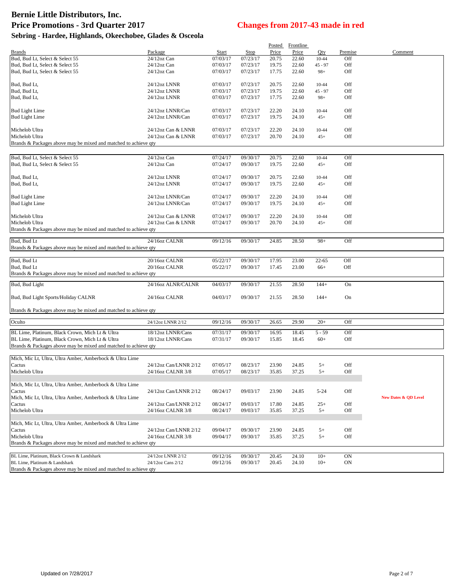|                                                                                                    |                                        |                      |                      | Posted | Frontline      |           |           |                      |
|----------------------------------------------------------------------------------------------------|----------------------------------------|----------------------|----------------------|--------|----------------|-----------|-----------|----------------------|
| <b>Brands</b>                                                                                      | Package                                | Start                | Stop                 | Price  | Price          | Oty       | Premise   | Comment              |
| Bud, Bud Lt, Select & Select 55                                                                    | 24/12oz Can                            | 07/03/17             | 07/23/17             | 20.75  | 22.60          | $10 - 44$ | Off       |                      |
| Bud, Bud Lt, Select & Select 55                                                                    | 24/12oz Can                            | 07/03/17             | 07/23/17             | 19.75  | 22.60          | $45 - 97$ | Off       |                      |
| Bud, Bud Lt, Select & Select 55                                                                    | 24/12oz Can                            | 07/03/17             | 07/23/17             | 17.75  | 22.60          | $98+$     | Off       |                      |
|                                                                                                    |                                        |                      |                      |        |                |           |           |                      |
| Bud, Bud Lt,                                                                                       | 24/12oz LNNR                           | 07/03/17             | 07/23/17             | 20.75  | 22.60          | $10 - 44$ | Off       |                      |
| Bud, Bud Lt,                                                                                       | 24/12oz LNNR                           | 07/03/17             | 07/23/17             | 19.75  | 22.60          | $45 - 97$ | Off       |                      |
| Bud, Bud Lt,                                                                                       | 24/12oz LNNR                           | 07/03/17             | 07/23/17             | 17.75  | 22.60          | $98+$     | Off       |                      |
| <b>Bud Light Lime</b>                                                                              | 24/12oz LNNR/Can                       | 07/03/17             | 07/23/17             | 22.20  | 24.10          | $10 - 44$ | Off       |                      |
| <b>Bud Light Lime</b>                                                                              | 24/12oz LNNR/Can                       | 07/03/17             | 07/23/17             | 19.75  | 24.10          | $45+$     | Off       |                      |
|                                                                                                    |                                        |                      |                      |        |                |           |           |                      |
| Michelob Ultra                                                                                     | 24/12oz Can & LNNR                     | 07/03/17             | 07/23/17             | 22.20  | 24.10          | $10-44$   | Off       |                      |
| Michelob Ultra                                                                                     | 24/12oz Can & LNNR                     | 07/03/17             | 07/23/17             | 20.70  | 24.10          | $45+$     | Off       |                      |
| Brands & Packages above may be mixed and matched to achieve qty                                    |                                        |                      |                      |        |                |           |           |                      |
|                                                                                                    |                                        |                      |                      |        |                |           |           |                      |
| Bud, Bud Lt, Select & Select 55                                                                    | 24/12oz Can                            | 07/24/17             | 09/30/17             | 20.75  | 22.60          | $10 - 44$ | Off       |                      |
| Bud, Bud Lt, Select & Select 55                                                                    | 24/12oz Can                            | 07/24/17             | 09/30/17             | 19.75  | 22.60          | $45+$     | Off       |                      |
|                                                                                                    |                                        |                      |                      |        |                |           |           |                      |
| Bud, Bud Lt,                                                                                       | 24/12oz LNNR                           | 07/24/17             | 09/30/17             | 20.75  | 22.60          | $10 - 44$ | Off       |                      |
| Bud, Bud Lt,                                                                                       | 24/12oz LNNR                           | 07/24/17             | 09/30/17             | 19.75  | 22.60          | $45+$     | Off       |                      |
|                                                                                                    |                                        |                      |                      |        |                |           |           |                      |
| <b>Bud Light Lime</b>                                                                              | 24/12oz LNNR/Can                       | 07/24/17             | 09/30/17             | 22.20  | 24.10          | 10-44     | Off       |                      |
| <b>Bud Light Lime</b>                                                                              | 24/12oz LNNR/Can                       | 07/24/17             | 09/30/17             | 19.75  | 24.10          | $45+$     | Off       |                      |
|                                                                                                    |                                        |                      |                      |        |                |           |           |                      |
| Michelob Ultra                                                                                     | 24/12oz Can & LNNR                     | 07/24/17             | 09/30/17             | 22.20  | 24.10          | $10 - 44$ | Off       |                      |
| Michelob Ultra                                                                                     | 24/12oz Can & LNNR                     | 07/24/17             | 09/30/17             | 20.70  | 24.10          | $45+$     | Off       |                      |
| Brands & Packages above may be mixed and matched to achieve qty                                    |                                        |                      |                      |        |                |           |           |                      |
| Bud, Bud Lt                                                                                        | 24/16oz CALNR                          | 09/12/16             | 09/30/17             | 24.85  | 28.50          | $98+$     | Off       |                      |
| Brands & Packages above may be mixed and matched to achieve qty                                    |                                        |                      |                      |        |                |           |           |                      |
|                                                                                                    |                                        |                      |                      |        |                |           |           |                      |
| Bud, Bud Lt                                                                                        | 20/16oz CALNR                          | 05/22/17             | 09/30/17             | 17.95  | 23.00          | $22 - 65$ | Off       |                      |
| Bud, Bud Lt                                                                                        | 20/16oz CALNR                          | 05/22/17             | 09/30/17             | 17.45  | 23.00          | $66+$     | Off       |                      |
| Brands & Packages above may be mixed and matched to achieve qty                                    |                                        |                      |                      |        |                |           |           |                      |
|                                                                                                    |                                        |                      |                      |        |                |           |           |                      |
| Bud, Bud Light                                                                                     | 24/16oz ALNR/CALNR                     | 04/03/17             | 09/30/17             | 21.55  | 28.50          | $144+$    | On        |                      |
|                                                                                                    |                                        |                      |                      |        |                |           |           |                      |
| Bud, Bud Light Sports/Holiday CALNR                                                                | 24/16oz CALNR                          | 04/03/17             | 09/30/17             | 21.55  | 28.50          | $144+$    | On        |                      |
| Brands & Packages above may be mixed and matched to achieve qty                                    |                                        |                      |                      |        |                |           |           |                      |
|                                                                                                    |                                        |                      |                      |        |                |           |           |                      |
| Oculto                                                                                             | 24/12oz LNNR 2/12                      | 09/12/16             | 09/30/17             | 26.65  | 29.90          | $20+$     | Off       |                      |
|                                                                                                    |                                        |                      |                      |        |                |           |           |                      |
| BL Lime, Platinum, Black Crown, Mich Lt & Ultra<br>BL Lime, Platinum, Black Crown, Mich Lt & Ultra | 18/12oz LNNR/Cans<br>18/12oz LNNR/Cans | 07/31/17<br>07/31/17 | 09/30/17<br>09/30/17 | 16.95  | 18.45<br>18.45 | $5 - 59$  | Off       |                      |
| Brands & Packages above may be mixed and matched to achieve qty                                    |                                        |                      |                      | 15.85  |                | $60+$     | Off       |                      |
|                                                                                                    |                                        |                      |                      |        |                |           |           |                      |
| Mich, Mic Lt, Ultra, Ultra Amber, Amberbock & Ultra Lime                                           |                                        |                      |                      |        |                |           |           |                      |
| Cactus                                                                                             | 24/12oz Can/LNNR 2/12                  | 07/05/17             | 08/23/17             | 23.90  | 24.85          | $5+$      | Off       |                      |
| Michelob Ultra                                                                                     | 24/16oz CALNR 3/8                      | 07/05/17             | 08/23/17             | 35.85  | 37.25          | $5+$      | Off       |                      |
|                                                                                                    |                                        |                      |                      |        |                |           |           |                      |
| Mich, Mic Lt. Ultra, Ultra Amber, Amberbock & Ultra Lime                                           |                                        |                      |                      |        |                |           |           |                      |
| Cactus                                                                                             | 24/12oz Can/LNNR 2/12                  | 08/24/17             | 09/03/17             | 23.90  | 24.85          | $5 - 24$  | Off       |                      |
| Mich, Mic Lt, Ultra, Ultra Amber, Amberbock & Ultra Lime                                           |                                        |                      |                      |        |                |           |           | New Dates & QD Level |
| Cactus                                                                                             | 24/12oz Can/LNNR 2/12                  | 08/24/17             | 09/03/17             | 17.80  | 24.85          | $25+$     | Off       |                      |
| Michelob Ultra                                                                                     | 24/16oz CALNR 3/8                      | 08/24/17             | 09/03/17             | 35.85  | 37.25          | $5+$      | Off       |                      |
|                                                                                                    |                                        |                      |                      |        |                |           |           |                      |
| Mich, Mic Lt, Ultra, Ultra Amber, Amberbock & Ultra Lime                                           |                                        |                      |                      |        |                |           |           |                      |
| Cactus                                                                                             | 24/12oz Can/LNNR 2/12                  | 09/04/17             | 09/30/17             | 23.90  | 24.85          | $5+$      | Off       |                      |
| Michelob Ultra                                                                                     | 24/16oz CALNR 3/8                      | 09/04/17             | 09/30/17             | 35.85  | 37.25          | $5+$      | Off       |                      |
| Brands & Packages above may be mixed and matched to achieve qty                                    |                                        |                      |                      |        |                |           |           |                      |
| BL Lime, Platinum, Black Crown & Landshark                                                         | 24/12oz LNNR 2/12                      | 09/12/16             | 09/30/17             | 20.45  | 24.10          | $10+$     | <b>ON</b> |                      |
| BL Lime, Platinum & Landshark                                                                      | 24/12oz Cans 2/12                      | 09/12/16             | 09/30/17             | 20.45  | 24.10          | $10+$     | <b>ON</b> |                      |
| Brands & Packages above may be mixed and matched to achieve qty                                    |                                        |                      |                      |        |                |           |           |                      |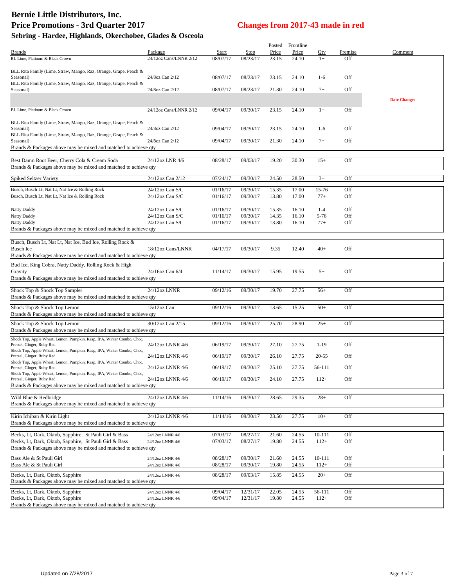# **Bernie Little Distributors, Inc. Price Promotions - 3rd Quarter 2017 Changes from 2017-43 made in red**

| Sebring - Hardee, Highlands, Okeechobee, Glades & Osceola |  |  |
|-----------------------------------------------------------|--|--|
|-----------------------------------------------------------|--|--|

|                                                                                                                  |                        |          |          |       | Posted Frontline |            |         |                     |
|------------------------------------------------------------------------------------------------------------------|------------------------|----------|----------|-------|------------------|------------|---------|---------------------|
| <b>Brands</b>                                                                                                    | Package                | Start    | Stop     | Price | Price            | Qty        | Premise | Comment             |
| BL Lime, Platinum & Black Crown                                                                                  | 24/12oz Cans/LNNR 2/12 | 08/07/17 | 08/23/17 | 23.15 | 24.10            | $1+$       | Off     |                     |
|                                                                                                                  |                        |          |          |       |                  |            |         |                     |
| BLL Rita Family (Lime, Straw, Mango, Raz, Orange, Grape, Peach &                                                 |                        |          |          |       |                  |            |         |                     |
| Seasonal)                                                                                                        | 24/8oz Can 2/12        | 08/07/17 | 08/23/17 | 23.15 | 24.10            | $1-6$      | Off     |                     |
| BLL Rita Family (Lime, Straw, Mango, Raz, Orange, Grape, Peach &<br>Seasonal)                                    | 24/8oz Can 2/12        | 08/07/17 | 08/23/17 | 21.30 | 24.10            | $7+$       | Off     |                     |
|                                                                                                                  |                        |          |          |       |                  |            |         |                     |
|                                                                                                                  |                        |          |          |       |                  |            |         | <b>Date Changes</b> |
| BL Lime, Platinum & Black Crown                                                                                  | 24/12oz Cans/LNNR 2/12 | 09/04/17 | 09/30/17 | 23.15 | 24.10            | $1+$       | Off     |                     |
|                                                                                                                  |                        |          |          |       |                  |            |         |                     |
| BLL Rita Family (Lime, Straw, Mango, Raz, Orange, Grape, Peach &                                                 |                        |          |          |       |                  |            |         |                     |
| Seasonal)                                                                                                        | 24/8oz Can 2/12        | 09/04/17 | 09/30/17 | 23.15 | 24.10            | $1-6$      | Off     |                     |
| BLL Rita Family (Lime, Straw, Mango, Raz, Orange, Grape, Peach &                                                 |                        |          |          |       |                  |            |         |                     |
| Seasonal)                                                                                                        | 24/8oz Can 2/12        | 09/04/17 | 09/30/17 | 21.30 | 24.10            | $7+$       | Off     |                     |
| Brands & Packages above may be mixed and matched to achieve qty                                                  |                        |          |          |       |                  |            |         |                     |
|                                                                                                                  |                        |          |          |       |                  |            |         |                     |
| Best Damn Root Beer, Cherry Cola & Cream Soda                                                                    | 24/12oz LNR 4/6        | 08/28/17 | 09/03/17 | 19.20 | 30.30            | $15+$      | Off     |                     |
| Brands & Packages above may be mixed and matched to achieve qty                                                  |                        |          |          |       |                  |            |         |                     |
| Spiked Seltzer Variety                                                                                           | 24/12oz Can 2/12       | 07/24/17 | 09/30/17 | 24.50 | 28.50            | $3+$       | Off     |                     |
|                                                                                                                  |                        |          |          |       |                  |            |         |                     |
| Busch, Busch Lt, Nat Lt, Nat Ice & Rolling Rock                                                                  | 24/12oz Can S/C        | 01/16/17 | 09/30/17 | 15.35 | 17.00            | 15-76      | Off     |                     |
| Busch, Busch Lt, Nat Lt, Nat Ice & Rolling Rock                                                                  | 24/12oz Can S/C        | 01/16/17 | 09/30/17 | 13.80 | 17.00            | $77+$      | Off     |                     |
|                                                                                                                  |                        |          |          |       |                  |            |         |                     |
| Natty Daddy                                                                                                      | $24/12$ oz Can S/C     | 01/16/17 | 09/30/17 | 15.35 | 16.10            | $1 - 4$    | Off     |                     |
| Natty Daddy                                                                                                      | 24/12oz Can S/C        | 01/16/17 | 09/30/17 | 14.35 | 16.10            | $5 - 76$   | Off     |                     |
| Natty Daddy                                                                                                      | $24/12$ oz Can S/C     | 01/16/17 | 09/30/17 | 13.80 | 16.10            | $77+$      | Off     |                     |
| Brands & Packages above may be mixed and matched to achieve qty                                                  |                        |          |          |       |                  |            |         |                     |
|                                                                                                                  |                        |          |          |       |                  |            |         |                     |
| Busch, Busch Lt, Nat Lt, Nat Ice, Bud Ice, Rolling Rock &<br><b>Busch Ice</b>                                    |                        |          |          |       |                  |            |         |                     |
| Brands & Packages above may be mixed and matched to achieve qty                                                  | 18/12oz Cans/LNNR      | 04/17/17 | 09/30/17 | 9.35  | 12.40            | $40+$      | Off     |                     |
|                                                                                                                  |                        |          |          |       |                  |            |         |                     |
| Bud Ice, King Cobra, Natty Daddy, Rolling Rock & High                                                            |                        |          |          |       |                  |            |         |                     |
| Gravity                                                                                                          | 24/16oz Can 6/4        | 11/14/17 | 09/30/17 | 15.95 | 19.55            | $5+$       | Off     |                     |
| Brands & Packages above may be mixed and matched to achieve qty                                                  |                        |          |          |       |                  |            |         |                     |
|                                                                                                                  |                        |          |          |       |                  |            |         |                     |
| Shock Top & Shock Top Sampler                                                                                    | 24/12oz LNNR           | 09/12/16 | 09/30/17 | 19.70 | 27.75            | $56+$      | Off     |                     |
| Brands & Packages above may be mixed and matched to achieve qty                                                  |                        |          |          |       |                  |            |         |                     |
| Shock Top & Shock Top Lemon                                                                                      | $15/12$ oz Can         | 09/12/16 | 09/30/17 | 13.65 | 15.25            | $50+$      | Off     |                     |
| Brands & Packages above may be mixed and matched to achieve qty                                                  |                        |          |          |       |                  |            |         |                     |
| Shock Top & Shock Top Lemon                                                                                      | 30/12oz Can 2/15       | 09/12/16 | 09/30/17 | 25.70 | 28.90            | $25+$      | Off     |                     |
| Brands & Packages above may be mixed and matched to achieve qty                                                  |                        |          |          |       |                  |            |         |                     |
|                                                                                                                  |                        |          |          |       |                  |            |         |                     |
| Shock Top, Apple Wheat, Lemon, Pumpkin, Rasp, IPA, Winter Combo, Choc,<br>Pretzel, Ginger, Ruby Red              | 24/12oz LNNR 4/6       | 06/19/17 | 09/30/17 | 27.10 | 27.75            | $1-19$     | Off     |                     |
| Shock Top, Apple Wheat, Lemon, Pumpkin, Rasp, IPA, Winter Combo, Choc,                                           |                        |          |          |       |                  |            |         |                     |
| Pretzel, Ginger, Ruby Red                                                                                        | 24/12oz LNNR 4/6       | 06/19/17 | 09/30/17 | 26.10 | 27.75            | 20-55      | Off     |                     |
| Shock Top, Apple Wheat, Lemon, Pumpkin, Rasp, IPA, Winter Combo, Choc,                                           |                        |          |          |       |                  |            |         |                     |
| Pretzel, Ginger, Ruby Red                                                                                        | 24/12oz LNNR 4/6       | 06/19/17 | 09/30/17 | 25.10 | 27.75            | 56-111     | Off     |                     |
| Shock Top, Apple Wheat, Lemon, Pumpkin, Rasp, IPA, Winter Combo, Choc,<br>Pretzel, Ginger, Ruby Red              | 24/12oz LNNR 4/6       | 06/19/17 | 09/30/17 | 24.10 | 27.75            | $112+$     | Off     |                     |
| Brands & Packages above may be mixed and matched to achieve qty                                                  |                        |          |          |       |                  |            |         |                     |
|                                                                                                                  |                        |          |          |       |                  |            |         |                     |
| Wild Blue & Redbridge                                                                                            | 24/12oz LNNR 4/6       | 11/14/16 | 09/30/17 | 28.65 | 29.35            | $28+$      | Off     |                     |
| Brands & Packages above may be mixed and matched to achieve qty                                                  |                        |          |          |       |                  |            |         |                     |
|                                                                                                                  |                        |          |          |       |                  |            |         |                     |
| Kirin Ichiban & Kirin Light                                                                                      | 24/12oz LNNR 4/6       | 11/14/16 | 09/30/17 | 23.50 | 27.75            | $10+$      | Off     |                     |
| Brands & Packages above may be mixed and matched to achieve qty                                                  |                        |          |          |       |                  |            |         |                     |
|                                                                                                                  | 24/12oz LNNR 4/6       | 07/03/17 | 08/27/17 | 21.60 | 24.55            | $10 - 111$ | Off     |                     |
| Becks, Lt, Dark, Oktob, Sapphire, St Pauli Girl & Bass<br>Becks, Lt, Dark, Oktob, Sapphire, St Pauli Girl & Bass | 24/12oz LNNR 4/6       | 07/03/17 | 08/27/17 | 19.80 | 24.55            | $112+$     | Off     |                     |
| Brands & Packages above may be mixed and matched to achieve qty                                                  |                        |          |          |       |                  |            |         |                     |
|                                                                                                                  |                        |          |          |       |                  |            |         |                     |
| Bass Ale & St Pauli Girl                                                                                         | 24/12oz LNNR 4/6       | 08/28/17 | 09/30/17 | 21.60 | 24.55            | $10 - 111$ | Off     |                     |
| Bass Ale & St Pauli Girl                                                                                         | 24/12oz LNNR 4/6       | 08/28/17 | 09/30/17 | 19.80 | 24.55            | $112+$     | Off     |                     |
| Becks, Lt, Dark, Oktob, Sapphire                                                                                 | 24/12oz LNNR 4/6       | 08/28/17 | 09/03/17 | 15.85 | 24.55            | $20+$      | Off     |                     |
| Brands & Packages above may be mixed and matched to achieve qty                                                  |                        |          |          |       |                  |            |         |                     |
|                                                                                                                  |                        |          |          |       |                  |            |         |                     |
| Becks, Lt, Dark, Oktob, Sapphire                                                                                 | 24/12oz LNNR 4/6       | 09/04/17 | 12/31/17 | 22.05 | 24.55            | 56-111     | Off     |                     |
| Becks, Lt, Dark, Oktob, Sapphire                                                                                 | 24/12oz LNNR 4/6       | 09/04/17 | 12/31/17 | 19.80 | 24.55            | $112+$     | Off     |                     |
| Brands & Packages above may be mixed and matched to achieve qty                                                  |                        |          |          |       |                  |            |         |                     |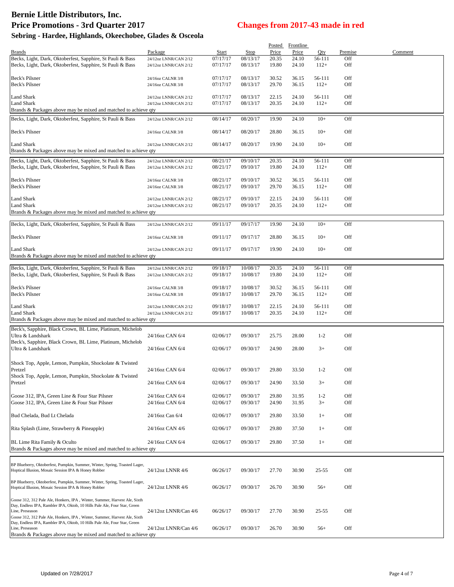# **Bernie Little Distributors, Inc. Price Promotions - 3rd Quarter 2017 Changes from 2017-43 made in red**

| Sebring - Hardee, Highlands, Okeechobee, Glades & Osceola |  |  |  |  |
|-----------------------------------------------------------|--|--|--|--|
|-----------------------------------------------------------|--|--|--|--|

|                                                                                                                                    |                       |          |             |       | Posted Frontline |           |         |         |
|------------------------------------------------------------------------------------------------------------------------------------|-----------------------|----------|-------------|-------|------------------|-----------|---------|---------|
| <b>Brands</b>                                                                                                                      | Package               | Start    | <b>Stop</b> | Price | Price            | Qty.      | Premise | Comment |
| Becks, Light, Dark, Oktoberfest, Sapphire, St Pauli & Bass                                                                         | 24/12oz LNNR/CAN 2/12 | 07/17/17 | 08/13/17    | 20.35 | 24.10            | 56-111    | Off     |         |
| Becks, Light, Dark, Oktoberfest, Sapphire, St Pauli & Bass                                                                         | 24/12oz LNNR/CAN 2/12 | 07/17/17 | 08/13/17    | 19.80 | 24.10            | $112+$    | Off     |         |
|                                                                                                                                    |                       |          |             |       |                  |           |         |         |
| Beck's Pilsner                                                                                                                     | 24/16oz CALNR 3/8     | 07/17/17 | 08/13/17    | 30.52 | 36.15            | 56-111    | Off     |         |
| Beck's Pilsner                                                                                                                     | 24/16oz CALNR 3/8     | 07/17/17 | 08/13/17    | 29.70 | 36.15            | $112+$    | Off     |         |
|                                                                                                                                    |                       |          |             |       |                  |           |         |         |
| Land Shark                                                                                                                         | 24/12oz LNNR/CAN 2/12 | 07/17/17 | 08/13/17    | 22.15 | 24.10            | 56-111    | Off     |         |
| <b>Land Shark</b>                                                                                                                  | 24/12oz LNNR/CAN 2/12 | 07/17/17 | 08/13/17    | 20.35 | 24.10            | $112+$    | Off     |         |
| Brands & Packages above may be mixed and matched to achieve qty                                                                    |                       |          |             |       |                  |           |         |         |
| Becks, Light, Dark, Oktoberfest, Sapphire, St Pauli & Bass                                                                         | 24/12oz LNNR/CAN 2/12 | 08/14/17 | 08/20/17    | 19.90 | 24.10            | $10+$     | Off     |         |
|                                                                                                                                    |                       |          |             |       |                  |           |         |         |
| Beck's Pilsner                                                                                                                     | 24/16oz CALNR 3/8     | 08/14/17 | 08/20/17    | 28.80 | 36.15            | $10+$     | Off     |         |
| <b>Land Shark</b>                                                                                                                  | 24/12oz LNNR/CAN 2/12 | 08/14/17 | 08/20/17    | 19.90 | 24.10            | $10+$     | Off     |         |
| Brands & Packages above may be mixed and matched to achieve qty                                                                    |                       |          |             |       |                  |           |         |         |
|                                                                                                                                    |                       |          |             |       |                  |           |         |         |
| Becks, Light, Dark, Oktoberfest, Sapphire, St Pauli & Bass                                                                         | 24/12oz LNNR/CAN 2/12 | 08/21/17 | 09/10/17    | 20.35 | 24.10            | 56-111    | Off     |         |
| Becks, Light, Dark, Oktoberfest, Sapphire, St Pauli & Bass                                                                         | 24/12oz LNNR/CAN 2/12 | 08/21/17 | 09/10/17    | 19.80 | 24.10            | $112+$    | Off     |         |
|                                                                                                                                    |                       |          |             |       |                  |           |         |         |
| <b>Beck's Pilsner</b>                                                                                                              | 24/16oz CALNR 3/8     | 08/21/17 | 09/10/17    | 30.52 | 36.15            | 56-111    | Off     |         |
| Beck's Pilsner                                                                                                                     | 24/16oz CALNR 3/8     | 08/21/17 | 09/10/17    | 29.70 | 36.15            | $112+$    | Off     |         |
| <b>Land Shark</b>                                                                                                                  | 24/12oz LNNR/CAN 2/12 | 08/21/17 | 09/10/17    | 22.15 | 24.10            | 56-111    | Off     |         |
| <b>Land Shark</b>                                                                                                                  | 24/12oz LNNR/CAN 2/12 | 08/21/17 | 09/10/17    | 20.35 | 24.10            | $112+$    | Off     |         |
| Brands & Packages above may be mixed and matched to achieve qty                                                                    |                       |          |             |       |                  |           |         |         |
|                                                                                                                                    |                       |          |             |       |                  |           |         |         |
| Becks, Light, Dark, Oktoberfest, Sapphire, St Pauli & Bass                                                                         | 24/12oz LNNR/CAN 2/12 | 09/11/17 | 09/17/17    | 19.90 | 24.10            | $10+$     | Off     |         |
|                                                                                                                                    |                       |          |             |       |                  |           |         |         |
| Beck's Pilsner                                                                                                                     | 24/16oz CALNR 3/8     | 09/11/17 | 09/17/17    | 28.80 | 36.15            | $10+$     | Off     |         |
|                                                                                                                                    |                       |          |             |       |                  |           |         |         |
| <b>Land Shark</b>                                                                                                                  | 24/12oz LNNR/CAN 2/12 | 09/11/17 | 09/17/17    | 19.90 | 24.10            | $10+$     | Off     |         |
| Brands & Packages above may be mixed and matched to achieve qty                                                                    |                       |          |             |       |                  |           |         |         |
| Becks, Light, Dark, Oktoberfest, Sapphire, St Pauli & Bass                                                                         | 24/12oz LNNR/CAN 2/12 | 09/18/17 | 10/08/17    | 20.35 | 24.10            | 56-111    | Off     |         |
| Becks, Light, Dark, Oktoberfest, Sapphire, St Pauli & Bass                                                                         | 24/12oz LNNR/CAN 2/12 | 09/18/17 | 10/08/17    | 19.80 | 24.10            | $112+$    | Off     |         |
|                                                                                                                                    |                       |          |             |       |                  |           |         |         |
| Beck's Pilsner                                                                                                                     | 24/16oz CALNR 3/8     | 09/18/17 | 10/08/17    | 30.52 | 36.15            | 56-111    | Off     |         |
| <b>Beck's Pilsner</b>                                                                                                              | 24/16oz CALNR 3/8     | 09/18/17 | 10/08/17    | 29.70 | 36.15            | $112+$    | Off     |         |
|                                                                                                                                    |                       |          |             |       |                  |           |         |         |
| <b>Land Shark</b>                                                                                                                  | 24/12oz LNNR/CAN 2/12 | 09/18/17 | 10/08/17    | 22.15 | 24.10            | 56-111    | Off     |         |
| <b>Land Shark</b>                                                                                                                  | 24/12oz LNNR/CAN 2/12 | 09/18/17 | 10/08/17    | 20.35 | 24.10            | $112+$    | Off     |         |
| Brands & Packages above may be mixed and matched to achieve qty                                                                    |                       |          |             |       |                  |           |         |         |
| Beck's, Sapphire, Black Crown, BL Lime, Platinum, Michelob                                                                         |                       |          |             |       |                  |           |         |         |
| Ultra & Landshark                                                                                                                  | 24/16oz CAN 6/4       | 02/06/17 | 09/30/17    | 25.75 | 28.00            | $1 - 2$   | Off     |         |
| Beck's, Sapphire, Black Crown, BL Lime, Platinum, Michelob                                                                         |                       |          |             |       |                  |           |         |         |
| Ultra & Landshark                                                                                                                  | 24/16oz CAN 6/4       | 02/06/17 | 09/30/17    | 24.90 | 28.00            | $3+$      | Off     |         |
|                                                                                                                                    |                       |          |             |       |                  |           |         |         |
| Shock Top, Apple, Lemon, Pumpkin, Shockolate & Twisted                                                                             |                       |          |             |       |                  |           |         |         |
| Pretzel                                                                                                                            | 24/16oz CAN 6/4       | 02/06/17 | 09/30/17    | 29.80 | 33.50            | $1 - 2$   | Off     |         |
| Shock Top, Apple, Lemon, Pumpkin, Shockolate & Twisted                                                                             |                       |          |             |       |                  |           |         |         |
| Pretzel                                                                                                                            | 24/16oz CAN 6/4       | 02/06/17 | 09/30/17    | 24.90 | 33.50            | $3+$      | Off     |         |
|                                                                                                                                    |                       |          |             |       |                  |           |         |         |
| Goose 312, IPA, Green Line & Four Star Pilsner                                                                                     | 24/16oz CAN 6/4       | 02/06/17 | 09/30/17    | 29.80 | 31.95            | $1 - 2$   | Off     |         |
| Goose 312, IPA, Green Line & Four Star Pilsner                                                                                     | 24/16oz CAN 6/4       | 02/06/17 | 09/30/17    | 24.90 | 31.95            | $3+$      | Off     |         |
|                                                                                                                                    |                       |          |             |       |                  |           |         |         |
| Bud Chelada, Bud Lt Chelada                                                                                                        | 24/16oz Can 6/4       | 02/06/17 | 09/30/17    | 29.80 | 33.50            | $1+$      | Off     |         |
| Rita Splash (Lime, Strawberry & Pineapple)                                                                                         | 24/16oz CAN 4/6       | 02/06/17 | 09/30/17    | 29.80 | 37.50            | $1+$      | Off     |         |
|                                                                                                                                    |                       |          |             |       |                  |           |         |         |
| BL Lime Rita Family & Oculto                                                                                                       | 24/16oz CAN 6/4       | 02/06/17 | 09/30/17    | 29.80 | 37.50            | $1+$      | Off     |         |
| Brands & Packages above may be mixed and matched to achieve qty                                                                    |                       |          |             |       |                  |           |         |         |
|                                                                                                                                    |                       |          |             |       |                  |           |         |         |
|                                                                                                                                    |                       |          |             |       |                  |           |         |         |
| BP Blueberry, Oktoberfest, Pumpkin, Summer, Winter, Spring, Toasted Lager,<br>Hoptical Illusion, Mosaic Session IPA & Honey Robber | 24/12oz LNNR 4/6      | 06/26/17 | 09/30/17    | 27.70 | 30.90            | $25 - 55$ | Off     |         |
|                                                                                                                                    |                       |          |             |       |                  |           |         |         |
| BP Blueberry, Oktoberfest, Pumpkin, Summer, Winter, Spring, Toasted Lager,                                                         |                       |          |             |       |                  |           |         |         |
| Hoptical Illusion, Mosaic Session IPA & Honey Robber                                                                               | 24/12oz LNNR 4/6      | 06/26/17 | 09/30/17    | 26.70 | 30.90            | $56+$     | Off     |         |
|                                                                                                                                    |                       |          |             |       |                  |           |         |         |
| Goose 312, 312 Pale Ale, Honkers, IPA, Winter, Summer, Harvest Ale, Sixth                                                          |                       |          |             |       |                  |           |         |         |
| Day, Endless IPA, Rambler IPA, Oktob, 10 Hills Pale Ale, Four Star, Green<br>Line, Preseason                                       | 24/12oz LNNR/Can 4/6  | 06/26/17 | 09/30/17    | 27.70 | 30.90            | $25 - 55$ | Off     |         |
| Goose 312, 312 Pale Ale, Honkers, IPA, Winter, Summer, Harvest Ale, Sixth                                                          |                       |          |             |       |                  |           |         |         |
| Day, Endless IPA, Rambler IPA, Oktob, 10 Hills Pale Ale, Four Star, Green                                                          |                       |          |             |       |                  |           |         |         |
| Line, Preseason                                                                                                                    | 24/12oz LNNR/Can 4/6  | 06/26/17 | 09/30/17    | 26.70 | 30.90            | $56+$     | Off     |         |
| Brands & Packages above may be mixed and matched to achieve qty                                                                    |                       |          |             |       |                  |           |         |         |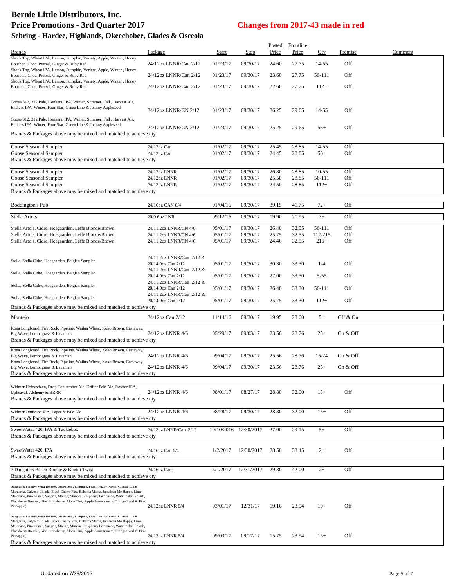## **Bernie Little Distributors, Inc. Price Promotions - 3rd Quarter 2017 Changes from 2017-43 made in red**

| Sebring - Hardee, Highlands, Okeechobee, Glades & Osceola                                                                                                                                                                                                                                                                                                                  |                                                 |                      |                       |                 |                    |                   |            |         |  |
|----------------------------------------------------------------------------------------------------------------------------------------------------------------------------------------------------------------------------------------------------------------------------------------------------------------------------------------------------------------------------|-------------------------------------------------|----------------------|-----------------------|-----------------|--------------------|-------------------|------------|---------|--|
| <b>Brands</b>                                                                                                                                                                                                                                                                                                                                                              | Package                                         | Start                | Stop                  | Posted<br>Price | Frontline<br>Price | Oty               | Premise    | Comment |  |
| Shock Top, Wheat IPA, Lemon, Pumpkin, Variety, Apple, Winter, Honey<br>Bourbon, Choc, Pretzel, Ginger & Ruby Red                                                                                                                                                                                                                                                           | 24/12oz LNNR/Can 2/12                           | 01/23/17             | 09/30/17              | 24.60           | 27.75              | 14-55             | Off        |         |  |
| Shock Top, Wheat IPA, Lemon, Pumpkin, Variety, Apple, Winter, Honey<br>Bourbon, Choc, Pretzel, Ginger & Ruby Red                                                                                                                                                                                                                                                           | 24/12oz LNNR/Can 2/12                           | 01/23/17             | 09/30/17              | 23.60           | 27.75              | 56-111            | Off        |         |  |
| Shock Top, Wheat IPA, Lemon, Pumpkin, Variety, Apple, Winter, Honey<br>Bourbon, Choc, Pretzel, Ginger & Ruby Red                                                                                                                                                                                                                                                           | 24/12oz LNNR/Can 2/12                           | 01/23/17             | 09/30/17              | 22.60           | 27.75              | $112+$            | Off        |         |  |
| Goose 312, 312 Pale, Honkers, IPA, Winter, Summer, Fall, Harvest Ale,<br>Endless IPA, Winter, Four Star, Green Line & Johnny Appleseed                                                                                                                                                                                                                                     | 24/12oz LNNR/CN 2/12                            | 01/23/17             | 09/30/17              | 26.25           | 29.65              | 14-55             | Off        |         |  |
| Goose 312, 312 Pale, Honkers, IPA, Winter, Summer, Fall, Harvest Ale,<br>Endless IPA, Winter, Four Star, Green Line & Johnny Appleseed                                                                                                                                                                                                                                     | 24/12oz LNNR/CN 2/12                            | 01/23/17             | 09/30/17              | 25.25           | 29.65              | $56+$             | Off        |         |  |
| Brands & Packages above may be mixed and matched to achieve qty                                                                                                                                                                                                                                                                                                            |                                                 |                      |                       |                 |                    |                   |            |         |  |
| Goose Seasonal Sampler<br>Goose Seasonal Sampler<br>Brands & Packages above may be mixed and matched to achieve qty                                                                                                                                                                                                                                                        | 24/12oz Can<br>24/12oz Can                      | 01/02/17<br>01/02/17 | 09/30/17<br>09/30/17  | 25.45<br>24.45  | 28.85<br>28.85     | 14-55<br>$56+$    | Off<br>Off |         |  |
| Goose Seasonal Sampler                                                                                                                                                                                                                                                                                                                                                     | 24/12oz LNNR                                    | 01/02/17             | 09/30/17              | 26.80           | 28.85              | $10-55$           | Off        |         |  |
| Goose Seasonal Sampler                                                                                                                                                                                                                                                                                                                                                     | 24/12oz LNNR                                    | 01/02/17             | 09/30/17              | 25.50           | 28.85              | 56-111            | Off        |         |  |
| Goose Seasonal Sampler<br>Brands & Packages above may be mixed and matched to achieve qty                                                                                                                                                                                                                                                                                  | 24/12oz LNNR                                    | 01/02/17             | 09/30/17              | 24.50           | 28.85              | $112+$            | Off        |         |  |
| Boddington's Pub                                                                                                                                                                                                                                                                                                                                                           | 24/16oz CAN 6/4                                 | 01/04/16             | 09/30/17              | 39.15           | 41.75              | $72+$             | Off        |         |  |
|                                                                                                                                                                                                                                                                                                                                                                            |                                                 | 09/12/16             |                       | 19.90           | 21.95              |                   | Off        |         |  |
| Stella Artois                                                                                                                                                                                                                                                                                                                                                              | 20/9.6oz LNR                                    |                      | 09/30/17              |                 |                    | $3+$              |            |         |  |
| Stella Artois, Cidre, Hoegaarden, Leffe Blonde/Brown<br>Stella Artois, Cidre, Hoegaarden, Leffe Blonde/Brown                                                                                                                                                                                                                                                               | 24/11.2oz LNNR/CN 4/6<br>24/11.2oz LNNR/CN 4/6  | 05/01/17<br>05/01/17 | 09/30/17<br>09/30/17  | 26.40<br>25.75  | 32.55<br>32.55     | 56-111<br>112-215 | Off<br>Off |         |  |
| Stella Artois, Cidre, Hoegaarden, Leffe Blonde/Brown                                                                                                                                                                                                                                                                                                                       | 24/11.2oz LNNR/CN 4/6                           | 05/01/17             | 09/30/17              | 24.46           | 32.55              | $216+$            | Off        |         |  |
| Stella, Stella Cidre, Hoegaarden, Belgian Sampler                                                                                                                                                                                                                                                                                                                          | 24/11.2oz LNNR/Can 2/12 &<br>20/14.9oz Can 2/12 | 05/01/17             | 09/30/17              | 30.30           | 33.30              | $1 - 4$           | Off        |         |  |
| Stella, Stella Cidre, Hoegaarden, Belgian Sampler                                                                                                                                                                                                                                                                                                                          | 24/11.2oz LNNR/Can 2/12 &                       |                      |                       |                 |                    |                   |            |         |  |
| Stella, Stella Cidre, Hoegaarden, Belgian Sampler                                                                                                                                                                                                                                                                                                                          | 20/14.9oz Can 2/12<br>24/11.2oz LNNR/Can 2/12 & | 05/01/17             | 09/30/17              | 27.00           | 33.30              | $5 - 55$          | Off        |         |  |
|                                                                                                                                                                                                                                                                                                                                                                            | 20/14.9oz Can 2/12<br>24/11.2oz LNNR/Can 2/12 & | 05/01/17             | 09/30/17              | 26.40           | 33.30              | 56-111            | Off        |         |  |
| Stella, Stella Cidre, Hoegaarden, Belgian Sampler<br>Brands & Packages above may be mixed and matched to achieve qty                                                                                                                                                                                                                                                       | 20/14.9oz Can 2/12                              | 05/01/17             | 09/30/17              | 25.75           | 33.30              | $112+$            | Off        |         |  |
| Montejo                                                                                                                                                                                                                                                                                                                                                                    | 24/12oz Can 2/12                                | 11/14/16             | 09/30/17              | 19.95           | 23.00              | $5+$              | Off & On   |         |  |
| Kona Longboard, Fire Rock, Pipeline, Wailua Wheat, Koko Brown, Castaway,                                                                                                                                                                                                                                                                                                   |                                                 |                      |                       |                 |                    |                   |            |         |  |
| Big Wave, Lemongrass & Lavaman<br>Brands & Packages above may be mixed and matched to achieve qty                                                                                                                                                                                                                                                                          | 24/12oz LNNR 4/6                                | 05/29/17             | 09/03/17              | 23.56           | 28.76              | $25+$             | On & Off   |         |  |
| Kona Longboard, Fire Rock, Pipeline, Wailua Wheat, Koko Brown, Castaway,<br>Big Wave, Lemongrass & Lavaman                                                                                                                                                                                                                                                                 | 24/12oz LNNR 4/6                                | 09/04/17             | 09/30/17              | 25.56           | 28.76              | 15-24             | On & Off   |         |  |
| Kona Longboard, Fire Rock, Pipeline, Wailua Wheat, Koko Brown, Castaway,<br>Big Wave, Lemongrass & Lavaman                                                                                                                                                                                                                                                                 | 24/12oz LNNR 4/6                                | 09/04/17             | 09/30/17              | 23.56           | 28.76              | $^{25+}$          | On & Off   |         |  |
| Brands & Packages above may be mixed and matched to achieve qty                                                                                                                                                                                                                                                                                                            |                                                 |                      |                       |                 |                    |                   |            |         |  |
| Widmer Hefeweizen, Drop Top Amber Ale, Drifter Pale Ale, Rotator IPA,<br>Upheaval, Alchemy & BRRR<br>Brands & Packages above may be mixed and matched to achieve qty                                                                                                                                                                                                       | 24/12oz LNNR 4/6                                | 08/01/17             | 08/27/17              | 28.80           | 32.00              | $15+$             | Off        |         |  |
| Widmer Omission IPA, Lager & Pale Ale<br>Brands & Packages above may be mixed and matched to achieve qty                                                                                                                                                                                                                                                                   | 24/12oz LNNR 4/6                                | 08/28/17             | 09/30/17              | 28.80           | 32.00              | $15+$             | Off        |         |  |
| SweetWater 420, IPA & Tacklebox<br>Brands & Packages above may be mixed and matched to achieve qty                                                                                                                                                                                                                                                                         | 24/12oz LNNR/Can 2/12                           |                      | 10/10/2016 12/30/2017 | 27.00           | 29.15              | $5+$              | Off        |         |  |
| SweetWater 420, IPA<br>Brands & Packages above may be mixed and matched to achieve qty                                                                                                                                                                                                                                                                                     | 24/16oz Can 6/4                                 | 1/2/2017             | 12/30/2017            | 28.50           | 33.45              | $2+$              | Off        |         |  |
| 3 Daughters Beach Blonde & Bimini Twist<br>Brands & Packages above may be mixed and matched to achieve qty                                                                                                                                                                                                                                                                 | 24/16oz Cans                                    | 5/1/2017             | 12/31/2017            | 29.80           | 42.00              | $2+$              | Off        |         |  |
| Seagrams Family (Wild Berries, Strawberry Daiquiri, Peach Fuzzy Navel, )<br>Margarita, Calypso Colada, Black Cherry Fizz, Bahama Mama, Jamaican Me Happy, Lime<br>Melonade, Pink Punch, Sangria, Mango, Mimosa, Raspberry Lemonade, Watermelon Splash,<br>Blackberry Breezer, Kiwi Strawberry, Aloha Tini, Apple Pomegranate, Orange Swirl & Pink<br>Pineapple)            | 24/12oz LNNR 6/4                                | 03/01/17             | 12/31/17              | 19.16           | 23.94              | $10+$             | Off        |         |  |
| Seagrams Family (Wild Berries, Strawberry Daiquiri, Peach Fuzzy Navel, Classic Lime<br>Margarita, Calypso Colada, Black Cherry Fizz, Bahama Mama, Jamaican Me Happy, Lime<br>Melonade, Pink Punch, Sangria, Mango, Mimosa, Raspberry Lemonade, Watermelon Splash,<br>Blackberry Breezer, Kiwi Strawberry, Aloha Tini, Apple Pomegranate, Orange Swirl & Pink<br>Pineapple) | 24/12oz LNNR 6/4                                | 09/03/17             | 09/17/17              | 15.75           | 23.94              | $15+$             | Off        |         |  |
| Brands & Packages above may be mixed and matched to achieve qty                                                                                                                                                                                                                                                                                                            |                                                 |                      |                       |                 |                    |                   |            |         |  |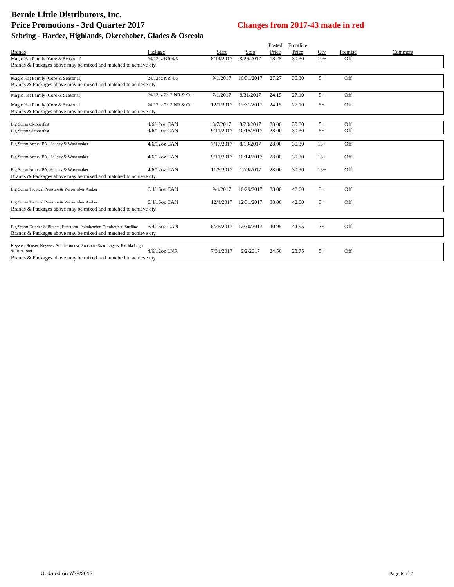|                                                                                           |                      |           |            | Posted | Frontline |       |         |         |
|-------------------------------------------------------------------------------------------|----------------------|-----------|------------|--------|-----------|-------|---------|---------|
| <b>Brands</b>                                                                             | Package              | Start     | Stop       | Price  | Price     | Otv   | Premise | Comment |
| Magic Hat Family (Core & Seasonal)                                                        | 24/12oz NR 4/6       | 8/14/2017 | 8/25/2017  | 18.25  | 30.30     | $10+$ | Off     |         |
| Brands & Packages above may be mixed and matched to achieve qty                           |                      |           |            |        |           |       |         |         |
|                                                                                           |                      |           |            |        |           |       |         |         |
| Magic Hat Family (Core & Seasonal)                                                        | 24/12oz NR 4/6       | 9/1/2017  | 10/31/2017 | 27.27  | 30.30     | $5+$  | Off     |         |
| Brands & Packages above may be mixed and matched to achieve qty                           |                      |           |            |        |           |       |         |         |
| Magic Hat Family (Core & Seasonal)                                                        | 24/12oz 2/12 NR & Cn | 7/1/2017  | 8/31/2017  | 24.15  | 27.10     | $5+$  | Off     |         |
| Magic Hat Family (Core & Seasonal                                                         | 24/12oz 2/12 NR & Cn | 12/1/2017 | 12/31/2017 | 24.15  | 27.10     | $5+$  | Off     |         |
| Brands & Packages above may be mixed and matched to achieve qty                           |                      |           |            |        |           |       |         |         |
|                                                                                           |                      |           |            |        |           |       |         |         |
| <b>Big Storm Oktoberfest</b>                                                              | $4/6/12$ oz CAN      | 8/7/2017  | 8/20/2017  | 28.00  | 30.30     | $5+$  | Off     |         |
| <b>Big Storm Oktoberfest</b>                                                              | $4/6/12$ oz CAN      | 9/11/2017 | 10/15/2017 | 28.00  | 30.30     | $5+$  | Off     |         |
|                                                                                           |                      |           |            |        |           |       |         |         |
| Big Storm Arcus IPA, Helicity & Wavemaker                                                 | 4/6/12oz CAN         | 7/17/2017 | 8/19/2017  | 28.00  | 30.30     | $15+$ | Off     |         |
|                                                                                           |                      |           |            |        |           |       |         |         |
| Big Storm Arcus IPA, Helicity & Wavemaker                                                 | $4/6/12$ oz CAN      | 9/11/2017 | 10/14/2017 | 28.00  | 30.30     | $15+$ | Off     |         |
|                                                                                           |                      |           |            |        |           |       |         |         |
| Big Storm Arcus IPA, Helicity & Wavemaker                                                 | $4/6/12$ oz CAN      | 11/6/2017 | 12/9/2017  | 28.00  | 30.30     | $15+$ | Off     |         |
| Brands & Packages above may be mixed and matched to achieve qty                           |                      |           |            |        |           |       |         |         |
|                                                                                           |                      |           |            |        |           |       |         |         |
| Big Storm Tropical Pressure & Wavemaker Amber                                             | $6/4/16$ oz CAN      | 9/4/2017  | 10/29/2017 | 38.00  | 42.00     | $3+$  | Off     |         |
|                                                                                           |                      |           |            |        |           |       |         |         |
| Big Storm Tropical Pressure & Wavemaker Amber                                             | $6/4/16$ oz CAN      | 12/4/2017 | 12/31/2017 | 38.00  | 42.00     | $3+$  | Off     |         |
| Brands & Packages above may be mixed and matched to achieve qty                           |                      |           |            |        |           |       |         |         |
|                                                                                           |                      |           |            |        |           |       |         |         |
|                                                                                           |                      |           |            |        |           |       |         |         |
| Big Storm Dunder & Blixem, Firestorm, Palmbender, Oktoberfest, Surfline                   | 6/4/16oz CAN         | 6/26/2017 | 12/30/2017 | 40.95  | 44.95     | $3+$  | Off     |         |
| Brands & Packages above may be mixed and matched to achieve qty                           |                      |           |            |        |           |       |         |         |
|                                                                                           |                      |           |            |        |           |       |         |         |
| Keywest Sunset, Keywest Southernmost, Sunshine State Lagers, Florida Lager<br>& Hurr Reef | $4/6/12$ oz LNR      | 7/31/2017 | 9/2/2017   | 24.50  | 28.75     | $5+$  | Off     |         |
| Brands & Packages above may be mixed and matched to achieve qty                           |                      |           |            |        |           |       |         |         |
|                                                                                           |                      |           |            |        |           |       |         |         |